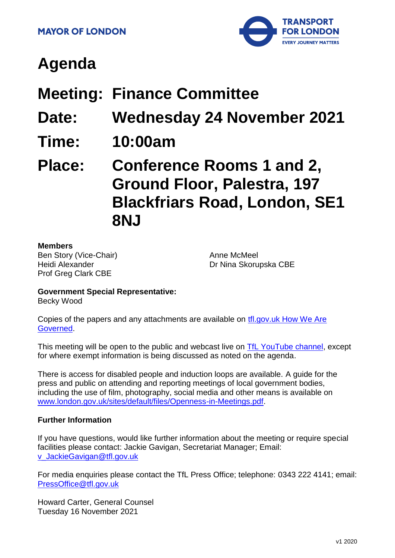

# **Agenda**

# **Meeting: Finance Committee**

- **Date: Wednesday 24 November 2021**
- **Time: 10:00am**

# **Place: Conference Rooms 1 and 2, Ground Floor, Palestra, 197 Blackfriars Road, London, SE1 8NJ**

#### **Members**

Ben Story (Vice-Chair) Heidi Alexander Prof Greg Clark CBE

Anne McMeel Dr Nina Skorupska CBE

# **Government Special Representative:**

Becky Wood

Copies of the papers and any attachments are available on [tfl.gov.uk How We Are](http://www.tfl.gov.uk/corporate/about-tfl/how-we-work/how-we-are-governed)  [Governed.](http://www.tfl.gov.uk/corporate/about-tfl/how-we-work/how-we-are-governed)

This meeting will be open to the public and webcast live on [TfL YouTube channel,](https://www.youtube.com/watch?v=_2U9viPQ9WE&list=PLtnlusA0Zoggk4qvN68OcnD9k_7B8cY_d) except for where exempt information is being discussed as noted on the agenda.

There is access for disabled people and induction loops are available. A guide for the press and public on attending and reporting meetings of local government bodies, including the use of film, photography, social media and other means is available on [www.london.gov.uk/sites/default/files/Openness-in-Meetings.pdf.](http://www.london.gov.uk/sites/default/files/Openness-in-Meetings.pdf)

#### **Further Information**

If you have questions, would like further information about the meeting or require special facilities please contact: Jackie Gavigan, Secretariat Manager; Email: [v\\_JackieGavigan@tfl.gov.uk](mailto:v_JackieGavigan@tfl.gov.uk)

For media enquiries please contact the TfL Press Office; telephone: 0343 222 4141; email: [PressOffice@tfl.gov.uk](mailto:PressOffice@tfl.gov.uk)

Howard Carter, General Counsel Tuesday 16 November 2021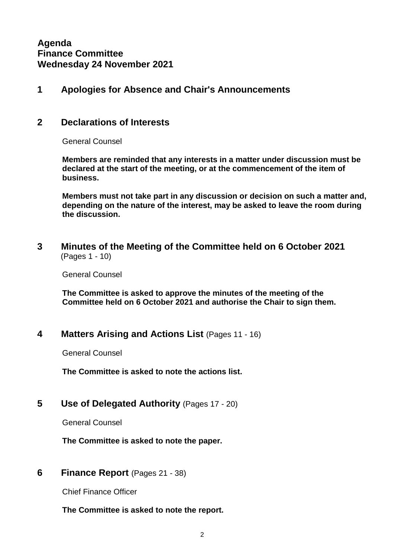## **1 Apologies for Absence and Chair's Announcements**

#### **2 Declarations of Interests**

General Counsel

**Members are reminded that any interests in a matter under discussion must be declared at the start of the meeting, or at the commencement of the item of business.**

**Members must not take part in any discussion or decision on such a matter and, depending on the nature of the interest, may be asked to leave the room during the discussion.**

**3 Minutes of the Meeting of the Committee held on 6 October 2021** (Pages 1 - 10)

General Counsel

**The Committee is asked to approve the minutes of the meeting of the Committee held on 6 October 2021 and authorise the Chair to sign them.**

## **4 Matters Arising and Actions List** (Pages 11 - 16)

General Counsel

**The Committee is asked to note the actions list.**

**5 Use of Delegated Authority** (Pages 17 - 20)

General Counsel

**The Committee is asked to note the paper.**

#### **6 Finance Report** (Pages 21 - 38)

Chief Finance Officer

**The Committee is asked to note the report.**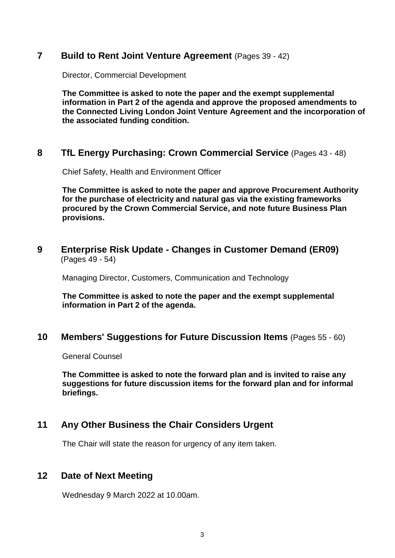#### **7 Build to Rent Joint Venture Agreement** (Pages 39 - 42)

Director, Commercial Development

**The Committee is asked to note the paper and the exempt supplemental information in Part 2 of the agenda and approve the proposed amendments to the Connected Living London Joint Venture Agreement and the incorporation of the associated funding condition.**

# **8 TfL Energy Purchasing: Crown Commercial Service** (Pages 43 - 48)

Chief Safety, Health and Environment Officer

**The Committee is asked to note the paper and approve Procurement Authority for the purchase of electricity and natural gas via the existing frameworks procured by the Crown Commercial Service, and note future Business Plan provisions.**

#### **9 Enterprise Risk Update - Changes in Customer Demand (ER09)** (Pages 49 - 54)

Managing Director, Customers, Communication and Technology

**The Committee is asked to note the paper and the exempt supplemental information in Part 2 of the agenda.**

## **10 Members' Suggestions for Future Discussion Items** (Pages 55 - 60)

General Counsel

**The Committee is asked to note the forward plan and is invited to raise any suggestions for future discussion items for the forward plan and for informal briefings.**

# **11 Any Other Business the Chair Considers Urgent**

The Chair will state the reason for urgency of any item taken.

## **12 Date of Next Meeting**

Wednesday 9 March 2022 at 10.00am.